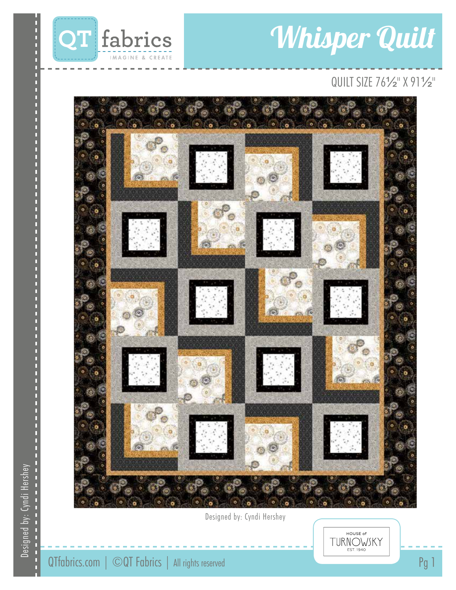

# Whisper Quilt

# QUILT SIZE 76½" X 91½"



Designed by: Cyndi Hershey

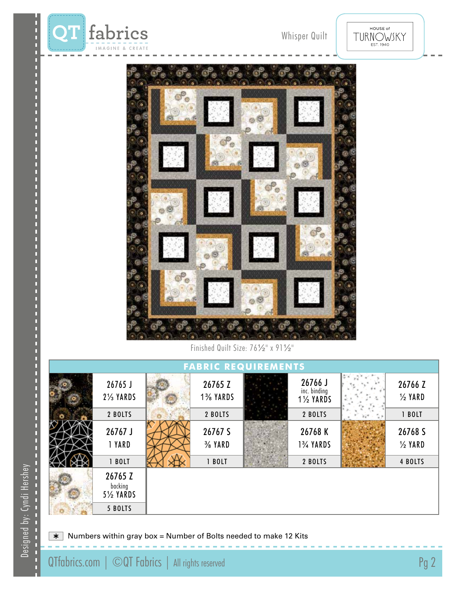

HOUSE of TURNOWSKY



Finished Quilt Size: 76½" x 91½"

| <b>FABRIC REQUIREMENTS</b> |                                       |  |                               |  |                                                 |  |                               |
|----------------------------|---------------------------------------|--|-------------------------------|--|-------------------------------------------------|--|-------------------------------|
|                            | 26765 J<br>2% YARDS                   |  | 26765 Z<br>1% YARDS           |  | 26766 J<br>inc. binding<br>$1\frac{1}{2}$ YARDS |  | 26766 Z<br>$\frac{1}{2}$ YARD |
|                            | 2 BOLTS                               |  | 2 BOLTS                       |  | 2 BOLTS                                         |  | 1 BOLT                        |
|                            | 26767 J<br>1 YARD                     |  | 26767 S<br>$\frac{3}{8}$ YARD |  | 26768 K<br>1% YARDS                             |  | 26768 S<br>$\frac{1}{2}$ YARD |
|                            | 1 BOLT                                |  | 1 BOLT                        |  | 2 BOLTS                                         |  | 4 BOLTS                       |
|                            | 26765 Z<br>backing<br><b>5% YARDS</b> |  |                               |  |                                                 |  |                               |
|                            | 5 BOLTS                               |  |                               |  |                                                 |  |                               |

 $\overline{\ast}$  Numbers within gray box = Number of Bolts needed to make 12 Kits

D

г Г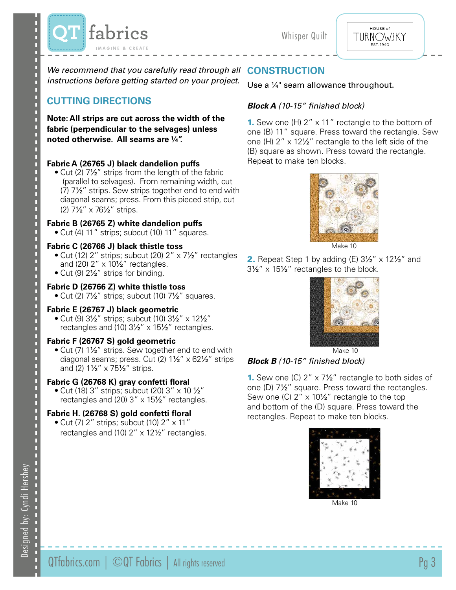



We recommend that you carefully read through all **CONSTRUCTION** *instructions before getting started on your project.*

# **Cutting DIRECTIONS**

**Note: All strips are cut across the width of the fabric (perpendicular to the selvages) unless noted otherwise. All seams are 1/4".**

#### **Fabric A (26765 J) black dandelion puffs**

• Cut (2) 7<sup>1/2"</sup> strips from the length of the fabric (parallel to selvages). From remaining width, cut (7) 7½" strips. Sew strips together end to end with diagonal seams; press. From this pieced strip, cut (2) 7½" x 76½" strips.

#### **Fabric B (26765 Z) white dandelion puffs**

• Cut (4) 11" strips; subcut (10) 11" squares.

#### **Fabric C (26766 J) black thistle toss**

- Cut (12) 2" strips; subcut (20) 2" x 7½" rectangles and  $(20)$  2"  $\times$  10½" rectangles.
- Cut (9) 2<sup>1</sup>/<sub>2</sub>" strips for binding.

#### **Fabric D (26766 Z) white thistle toss**

• Cut (2)  $7\frac{1}{2}$ " strips; subcut (10)  $7\frac{1}{2}$ " squares.

#### **Fabric E (26767 J) black geometric**

• Cut (9) 3½" strips; subcut (10) 3½" x 12½" rectangles and (10) 3½" x 15½" rectangles.

#### **Fabric F (26767 S) gold geometric**

• Cut (7) 1½" strips. Sew together end to end with diagonal seams; press. Cut (2) 1½" x 62½" strips and (2) 1½" x 75½" strips.

#### **Fabric G (26768 K) gray confetti floral**

• Cut (18) 3" strips; subcut (20) 3"  $\times$  10  $\frac{1}{2}$ " rectangles and (20) 3" x 15½" rectangles.

#### **Fabric H. (26768 S) gold confetti floral**

• Cut (7)  $2''$  strips; subcut (10)  $2'' \times 11''$ rectangles and (10) 2" x 12½" rectangles.

#### Use a <sup>1/4</sup> seam allowance throughout.

### *Block A (10-15" finished block)*

**1.** Sew one (H)  $2'' \times 11''$  rectangle to the bottom of one (B) 11" square. Press toward the rectangle. Sew one (H) 2" x 12½" rectangle to the left side of the (B) square as shown. Press toward the rectangle. Repeat to make ten blocks.



Make 10

2. Repeat Step 1 by adding  $(E)$  3½" x 12½" and 3½" x 15½" rectangles to the block.



Make 10

#### *Block B (10-15" finished block)*

**1.** Sew one (C)  $2'' \times 7\frac{1}{2}$  rectangle to both sides of one (D) 7½" square. Press toward the rectangles. Sew one (C)  $2'' \times 10\frac{1}{2}$  rectangle to the top and bottom of the (D) square. Press toward the rectangles. Repeat to make ten blocks.



Make 10